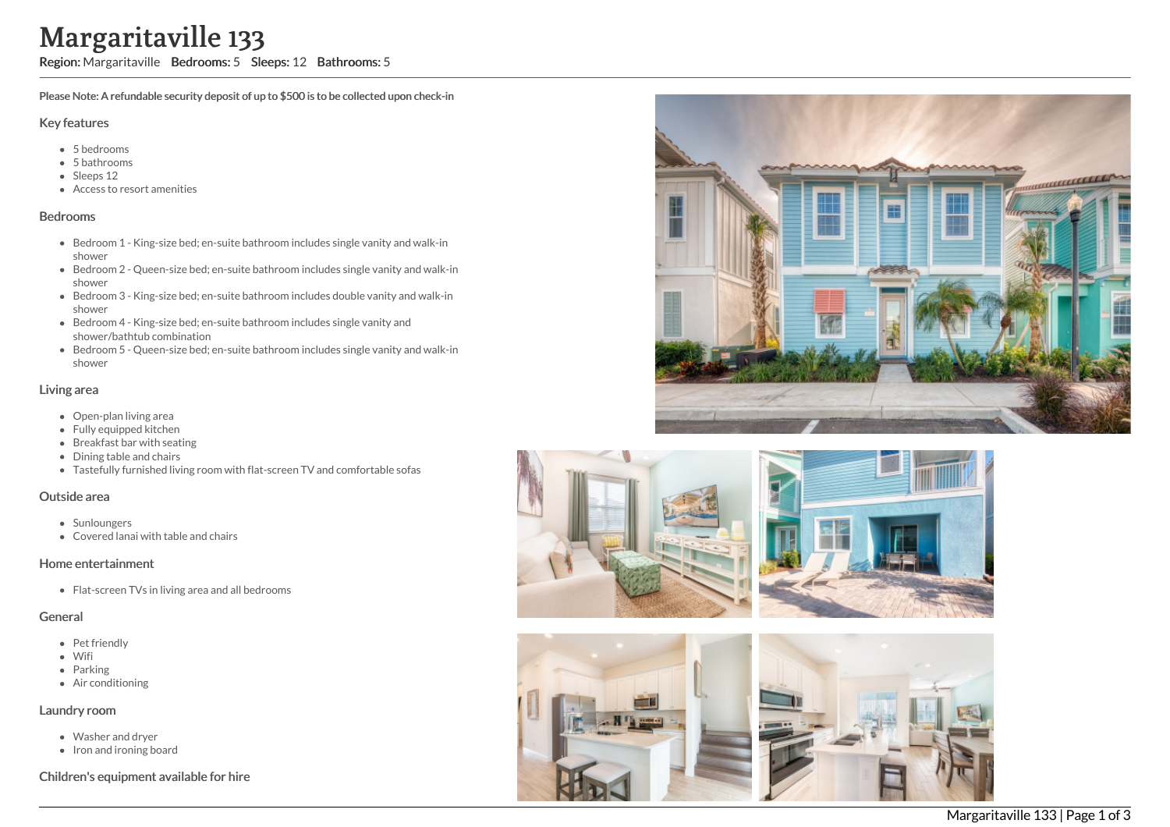# Margaritaville 133

Region: Margaritaville Bedrooms: 5 Sleeps: 12 Bathrooms: 5

Please Note: A refundable security deposit of up to \$500 is to be collected upon check-in

#### Key features

- 5 bedrooms
- 5 bathrooms
- Sleeps 12
- Access to resort amenities

#### Bedrooms

- Bedroom 1 King-size bed; en-suite bathroom includes single vanity and walk-in shower
- Bedroom 2 Queen-size bed; en-suite bathroom includes single vanity and walk-in shower
- Bedroom 3 King-size bed; en-suite bathroom includes double vanity and walk-in shower
- Bedroom 4 King-size bed; en-suite bathroom includes single vanity and shower/bathtub combination
- Bedroom 5 Queen-size bed; en-suite bathroom includes single vanity and walk-in shower

### Living area

- Open-plan living area
- Fully equipped kitchen
- Breakfast bar with seating
- Dining table and chairs
- Tastefully furnished living room with flat-screen TV and comfortable sofas

#### Outside area

- Sunloungers
- Covered lanai with table and chairs

#### Home entertainment

• Flat-screen TVs in living area and all bedrooms

## **General**

- Pet friendly
- Wifi
- Parking
- Air conditioning

#### Laundry room

- Washer and dryer
- Iron and ironing board

Children's equipment available for hire





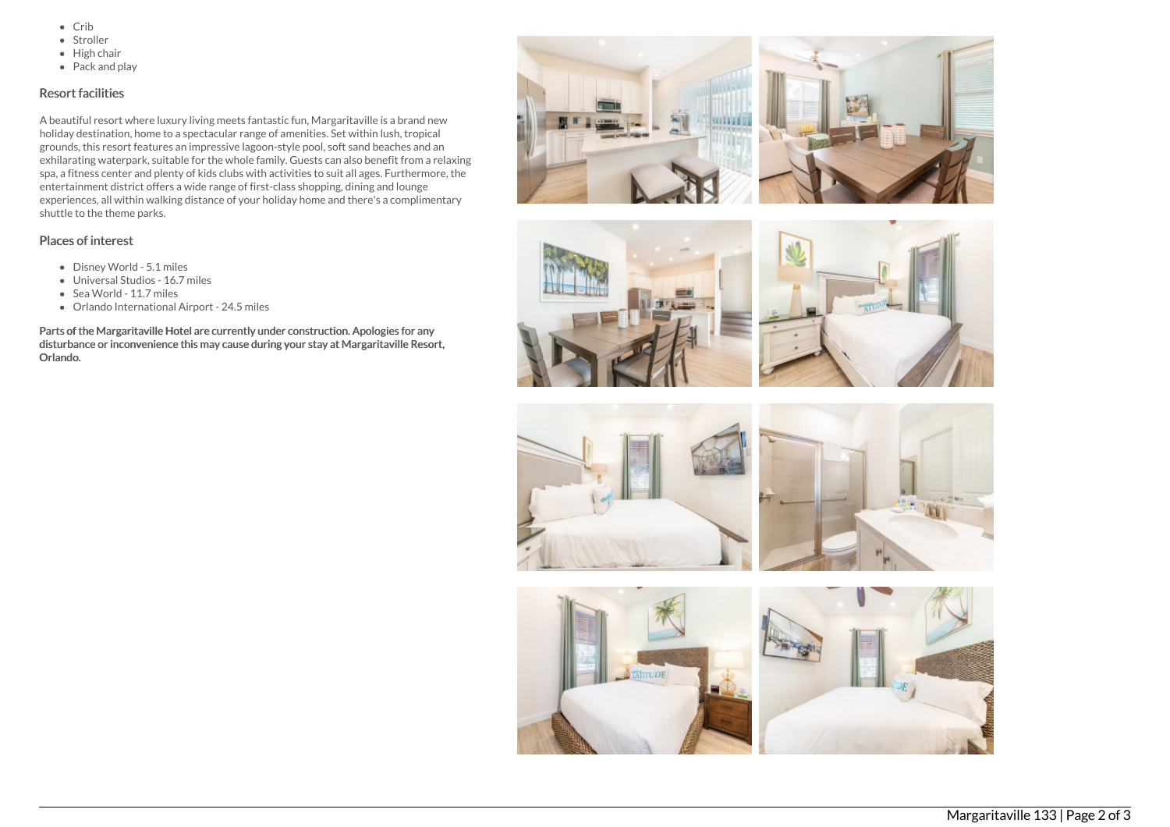- $\bullet$  Crib
- Stroller
- $\bullet$  High chair
- Pack and play

# Resort facilities

A beautiful resort where luxury living meets fantastic fun, Margaritaville is a brand new holiday destination, home to a spectacular range of amenities. Set within lush, tropical grounds, this resort features an impressive lagoon-style pool, soft sand beaches and an exhilarating waterpark, suitable for the whole family. Guests can also benefit from a relaxing spa, a fitness center and plenty of kids clubs with activities to suit all ages. Furthermore, the entertainment district offers a wide range of first-class shopping, dining and lounge experiences, all within walking distance of your holiday home and there's a complimentary shuttle to the theme parks.

## Places of interest

- Disney World 5.1 miles
- Universal Studios 16.7 miles
- Sea World 11.7 miles
- Orlando International Airport 24.5 miles

Parts of the Margaritaville Hotel are currently under construction. Apologies for any disturbance or inconvenience this may cause during your stay at Margaritaville Resort, Orlando.